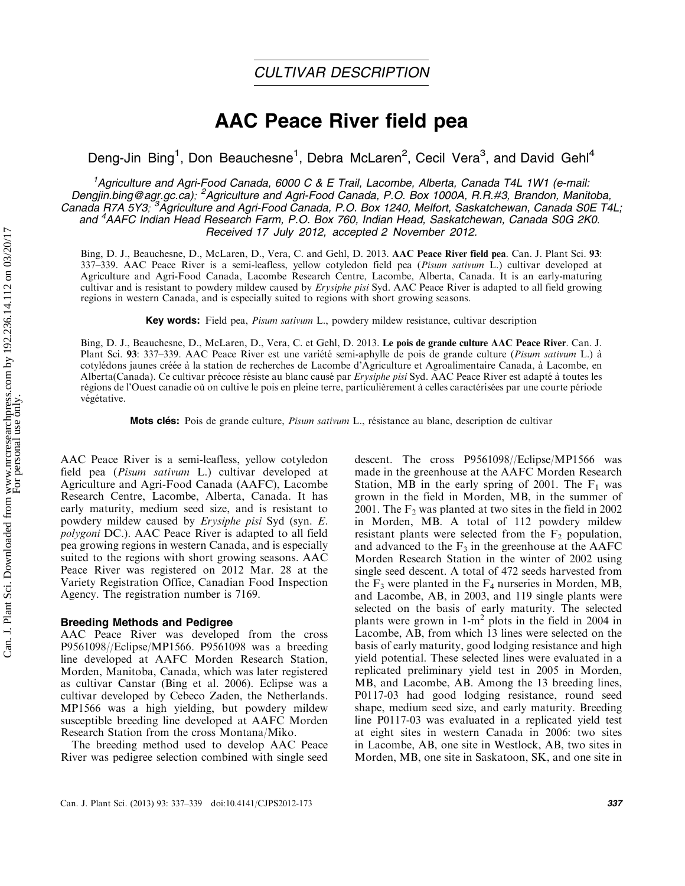# AAC Peace River field pea

Deng-Jin Bing<sup>1</sup>, Don Beauchesne<sup>1</sup>, Debra McLaren<sup>2</sup>, Cecil Vera<sup>3</sup>, and David Gehl<sup>4</sup>

<sup>1</sup>Agriculture and Agri-Food Canada, 6000 C & E Trail, Lacombe, Alberta, Canada T4L 1W1 (e-mail: Dengjin.bing@agr.gc.ca); <sup>2</sup>Agriculture and Agri-Food Canada, P.O. Box 1000A, R.R.#3, Brandon, Manitoba, Canada R7A 5Y3; <sup>3</sup>Agriculture and Agri-Food Canada, P.O. Box 1240, Melfort, Saskatchewan, Canada S0E T4L; and <sup>4</sup>AAFC Indian Head Research Farm, P.O. Box 760, Indian Head, Saskatchewan, Canada S0G 2K0. Received 17 July 2012, accepted 2 November 2012.

Bing, D. J., Beauchesne, D., McLaren, D., Vera, C. and Gehl, D. 2013. AAC Peace River field pea. Can. J. Plant Sci. 93: 337–339. AAC Peace River is a semi-leafless, yellow cotyledon field pea (Pisum sativum L.) cultivar developed at Agriculture and Agri-Food Canada, Lacombe Research Centre, Lacombe, Alberta, Canada. It is an early-maturing cultivar and is resistant to powdery mildew caused by Erysiphe pisi Syd. AAC Peace River is adapted to all field growing regions in western Canada, and is especially suited to regions with short growing seasons.

**Key words:** Field pea, *Pisum sativum* L., powdery mildew resistance, cultivar description

Bing, D. J., Beauchesne, D., McLaren, D., Vera, C. et Gehl, D. 2013. Le pois de grande culture AAC Peace River. Can. J. Plant Sci. 93: 337–339. AAC Peace River est une variété semi-aphylle de pois de grande culture (Pisum sativum L.) à cotyle´dons jaunes cre´e´e a` la station de recherches de Lacombe d'Agriculture et Agroalimentaire Canada, a` Lacombe, en Alberta(Canada). Ce cultivar précoce résiste au blanc causé par *Erysiphe pisi* Syd. AAC Peace River est adapté à toutes les régions de l'Ouest canadie où on cultive le pois en pleine terre, particulièrement à celles caractérisées par une courte période végétative.

**Mots clés:** Pois de grande culture, *Pisum sativum* L., résistance au blanc, description de cultivar

AAC Peace River is a semi-leafless, yellow cotyledon field pea (Pisum sativum L.) cultivar developed at Agriculture and Agri-Food Canada (AAFC), Lacombe Research Centre, Lacombe, Alberta, Canada. It has early maturity, medium seed size, and is resistant to powdery mildew caused by Erysiphe pisi Syd (syn. E. polygoni DC.). AAC Peace River is adapted to all field pea growing regions in western Canada, and is especially suited to the regions with short growing seasons. AAC Peace River was registered on 2012 Mar. 28 at the Variety Registration Office, Canadian Food Inspection Agency. The registration number is 7169.

#### Breeding Methods and Pedigree

AAC Peace River was developed from the cross P9561098//Eclipse/MP1566. P9561098 was a breeding line developed at AAFC Morden Research Station, Morden, Manitoba, Canada, which was later registered as cultivar Canstar (Bing et al. 2006). Eclipse was a cultivar developed by Cebeco Zaden, the Netherlands. MP1566 was a high yielding, but powdery mildew susceptible breeding line developed at AAFC Morden Research Station from the cross Montana/Miko.

The breeding method used to develop AAC Peace River was pedigree selection combined with single seed

descent. The cross P9561098//Eclipse/MP1566 was made in the greenhouse at the AAFC Morden Research Station, MB in the early spring of 2001. The  $F_1$  was grown in the field in Morden, MB, in the summer of 2001. The  $F_2$  was planted at two sites in the field in 2002 in Morden, MB. A total of 112 powdery mildew resistant plants were selected from the  $F_2$  population, and advanced to the  $F_3$  in the greenhouse at the AAFC Morden Research Station in the winter of 2002 using single seed descent. A total of 472 seeds harvested from the  $F_3$  were planted in the  $F_4$  nurseries in Morden, MB, and Lacombe, AB, in 2003, and 119 single plants were selected on the basis of early maturity. The selected plants were grown in  $1-m^2$  plots in the field in 2004 in Lacombe, AB, from which 13 lines were selected on the basis of early maturity, good lodging resistance and high yield potential. These selected lines were evaluated in a replicated preliminary yield test in 2005 in Morden, MB, and Lacombe, AB. Among the 13 breeding lines, P0117-03 had good lodging resistance, round seed shape, medium seed size, and early maturity. Breeding line P0117-03 was evaluated in a replicated yield test at eight sites in western Canada in 2006: two sites in Lacombe, AB, one site in Westlock, AB, two sites in Morden, MB, one site in Saskatoon, SK, and one site in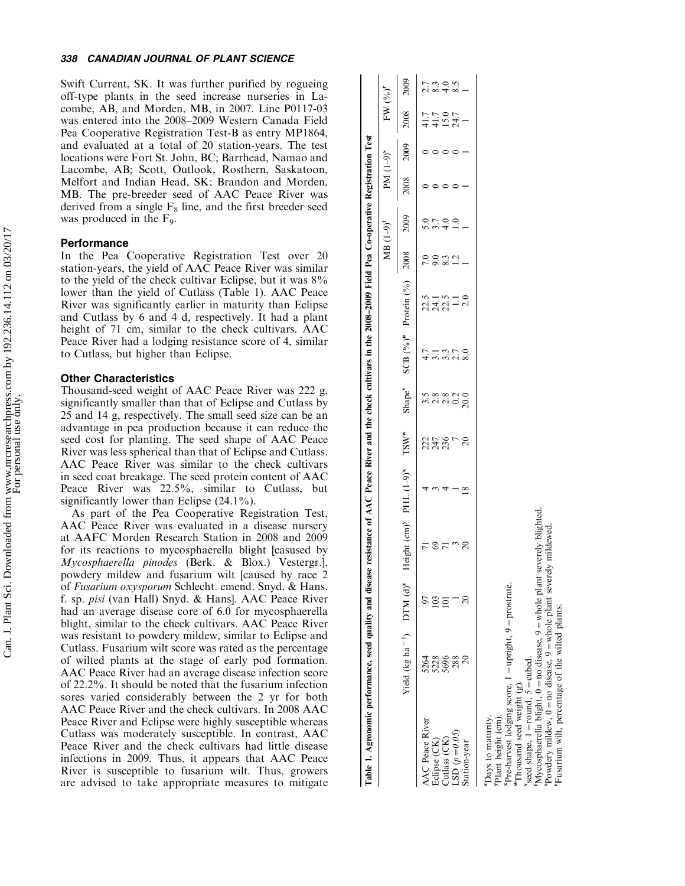Swift Current, SK. It was further purified by rogueing off-type plants in the seed increase nurseries in Lacombe, AB, and Morden, MB, in 2007. Line P0117-03 was entered into the 2008 -2009 Western Canada Field Pea Cooperative Registration Test-B as entry MP1864, and evaluated at a total of 20 station-years. The test locations were Fort St. John, BC; Barrhead, Namao and Lacombe, AB; Scott, Outlook, Rosthern, Saskatoon, Melfort and Indian Head, SK; Brandon and Morden, MB. The pre-breeder seed of AAC Peace River was derived from a single  $F_8$  line, and the first breeder seed was produced in the F 9 .

### **Performance**

In the Pea Cooperative Registration Test over 20 station-years, the yield of AAC Peace River was similar to the yield of the check cultivar Eclipse, but it was 8% lower than the yield of Cutlass (Table 1). AAC Peace River was significantly earlier in maturity than Eclipse and Cutlass by 6 and 4 d, respectively. It had a plant height of 71 cm, similar to the check cultivars. AAC Peace River had a lodging resistance score of 4, similar to Cutlass, but higher than Eclipse.

### Other Characteristics

Thousand-seed weight of AAC Peace River was 222 g, significantly smaller than that of Eclipse and Cutlass by 25 and 14 g, respectively. The small seed size can be an advantage in pea production because it can reduce the seed cost for planting. The seed shape of AAC Peace River was less spherical than that of Eclipse and Cutlass. AAC Peace River was similar to the check cultivars in seed coat breakage. The seed protein content of AAC Peace River was 22.5%, similar to Cutlass, but significantly lower than Eclipse (24.1%).

As part of the Pea Cooperative Registration Test, AAC Peace River was evaluated in a disease nursery at AAFC Morden Research Station in 2008 and 2009 for its reactions to mycosphaerella blight [casused by Mycosphaerella pinodes (Berk. & Blox.) Vestergr.], powdery mildew and fusarium wilt [caused by race 2 of Fusarium oxysporum Schlecht. emend. Snyd. & Hans. f. sp. pisi (van Hall) Snyd. & Hans]. AAC Peace River had an average disease core of 6.0 for mycosphaerella blight, similar to the check cultivars. AAC Peace River was resistant to powdery mildew, similar to Eclipse and Cutlass. Fusarium wilt score was rated as the percentage of wilted plants at the stage of early pod formation. AAC Peace River had an average disease infection score of 22.2%. It should be noted that the fusarium infection sores varied considerably between the 2 yr for both AAC Peace River and the check cultivars. In 2008 AAC Peace River and Eclipse were highly susceptible whereas Cutlass was moderately susceptible. In contrast, AAC Peace River and the check cultivars had little disease infections in 2009. Thus, it appears that AAC Peace River is susceptible to fusarium wilt. Thus, growers are advised to take appropriate measures to mitigate

|                                                       | Table 1. Agronomic performance, seed quality and disease resistance of AAC Peace River and the check cultivars in the 2008–2009 Field Pea Co-operative Registration Test |               |                             |                  |                    |               |                                  |                            |               |              |      |                                     |                 |
|-------------------------------------------------------|--------------------------------------------------------------------------------------------------------------------------------------------------------------------------|---------------|-----------------------------|------------------|--------------------|---------------|----------------------------------|----------------------------|---------------|--------------|------|-------------------------------------|-----------------|
|                                                       |                                                                                                                                                                          |               |                             |                  |                    |               |                                  | $\rm{MB}$ (1–9) $^{\rm t}$ |               | $PM (1-9)^s$ |      | $FW (%)^r$                          |                 |
|                                                       | Yield (kg ha <sup>-1</sup> ) DTM (d) <sup>z</sup>                                                                                                                        |               | Height $(cm)y$ PHL $(1-9)x$ | TSW <sup>w</sup> | Shape <sup>v</sup> |               | SCB (%) <sup>v</sup> Protein (%) | 2008                       | 2009          | 2008         | 2009 | 2008                                | 2009            |
| <b>AAC</b> Peace River                                | 5264                                                                                                                                                                     |               |                             |                  |                    |               | 22.5                             |                            |               |              |      |                                     |                 |
| Eclipse (CK)                                          |                                                                                                                                                                          | $\frac{3}{2}$ |                             | 225<br>236       |                    |               |                                  | 9.0                        | 3.7           |              |      | 4 4 1 2 4<br>4 4 1 2 4<br>4 4 1 2 4 | ていのう<br>2019 10 |
| Cutlass (CK)                                          | 5228                                                                                                                                                                     | $\Xi$         |                             |                  |                    | 3.3           | 24.1                             | 8.3                        | $\frac{0}{4}$ |              |      |                                     |                 |
| $LSD(p = 0.05)$                                       | 288                                                                                                                                                                      |               |                             |                  |                    |               |                                  |                            |               |              |      |                                     |                 |
| Station-year                                          |                                                                                                                                                                          |               | $\overline{20}$             | $\approx$        | 20.0               | $\frac{8}{8}$ | $\frac{0}{2}$                    |                            |               |              |      |                                     |                 |
| Days to maturity.                                     |                                                                                                                                                                          |               |                             |                  |                    |               |                                  |                            |               |              |      |                                     |                 |
| Plant height (cm).                                    |                                                                                                                                                                          |               |                             |                  |                    |               |                                  |                            |               |              |      |                                     |                 |
| Thousand seed weight (g).                             | $x_{\text{Pre-harvest}}$ lodging score, $1 = \text{upright}, 9 = \text{prostrate}.$                                                                                      |               |                             |                  |                    |               |                                  |                            |               |              |      |                                     |                 |
| seed shape, $1 = \text{round}$ , $5 = \text{cubed}$ . |                                                                                                                                                                          |               |                             |                  |                    |               |                                  |                            |               |              |      |                                     |                 |
|                                                       | $Mycoshacella blight$ , $0 = no disease$ , $9 = whole plant severely blighted$                                                                                           |               |                             |                  |                    |               |                                  |                            |               |              |      |                                     |                 |
|                                                       | Powdery mildew, $0 =$ no disease, $9 =$ whole plant severely mildewed<br>Fucation wilt percentage of the wilted plants                                                   |               |                             |                  |                    |               |                                  |                            |               |              |      |                                     |                 |

rFusarium wilt, percentage of the wilted plants.

Fusarium wilt, percentage of the

wilted plants